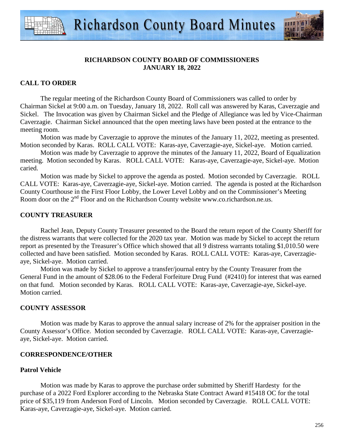



## **CALL TO ORDER**

 The regular meeting of the Richardson County Board of Commissioners was called to order by Chairman Sickel at 9:00 a.m. on Tuesday, January 18, 2022. Roll call was answered by Karas, Caverzagie and Sickel. The Invocation was given by Chairman Sickel and the Pledge of Allegiance was led by Vice-Chairman Caverzagie. Chairman Sickel announced that the open meeting laws have been posted at the entrance to the meeting room.

 Motion was made by Caverzagie to approve the minutes of the January 11, 2022, meeting as presented. Motion seconded by Karas. ROLL CALL VOTE: Karas-aye, Caverzagie-aye, Sickel-aye. Motion carried.

 Motion was made by Caverzagie to approve the minutes of the January 11, 2022, Board of Equalization meeting. Motion seconded by Karas. ROLL CALL VOTE: Karas-aye, Caverzagie-aye, Sickel-aye. Motion caried.

 Motion was made by Sickel to approve the agenda as posted. Motion seconded by Caverzagie. ROLL CALL VOTE: Karas-aye, Caverzagie-aye, Sickel-aye. Motion carried. The agenda is posted at the Richardson County Courthouse in the First Floor Lobby, the Lower Level Lobby and on the Commissioner's Meeting Room door on the 2<sup>nd</sup> Floor and on the Richardson County website www.co.richardson.ne.us.

### **COUNTY TREASURER**

Rachel Jean, Deputy County Treasurer presented to the Board the return report of the County Sheriff for the distress warrants that were collected for the 2020 tax year. Motion was made by Sickel to accept the return report as presented by the Treasurer's Office which showed that all 9 distress warrants totaling \$1,010.50 were collected and have been satisfied. Motion seconded by Karas. ROLL CALL VOTE: Karas-aye, Caverzagieaye, Sickel-aye. Motion carried.

 Motion was made by Sickel to approve a transfer/journal entry by the County Treasurer from the General Fund in the amount of \$28.06 to the Federal Forfeiture Drug Fund (#2410) for interest that was earned on that fund. Motion seconded by Karas. ROLL CALL VOTE: Karas-aye, Caverzagie-aye, Sickel-aye. Motion carried.

### **COUNTY ASSESSOR**

 Motion was made by Karas to approve the annual salary increase of 2% for the appraiser position in the County Assessor's Office. Motion seconded by Caverzagie. ROLL CALL VOTE: Karas-aye, Caverzagieaye, Sickel-aye. Motion carried.

#### **CORRESPONDENCE/OTHER**

### **Patrol Vehicle**

 Motion was made by Karas to approve the purchase order submitted by Sheriff Hardesty for the purchase of a 2022 Ford Explorer according to the Nebraska State Contract Award #15418 OC for the total price of \$35,119 from Anderson Ford of Lincoln. Motion seconded by Caverzagie. ROLL CALL VOTE: Karas-aye, Caverzagie-aye, Sickel-aye. Motion carried.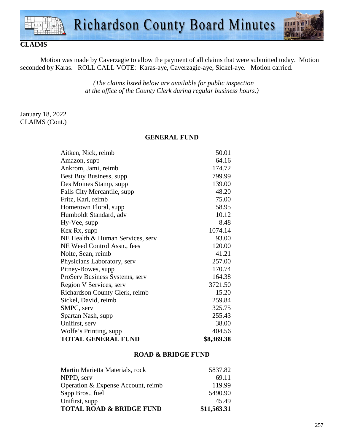

# **CLAIMS**

Motion was made by Caverzagie to allow the payment of all claims that were submitted today. Motion seconded by Karas. ROLL CALL VOTE: Karas-aye, Caverzagie-aye, Sickel-aye. Motion carried.

> *(The claims listed below are available for public inspection at the office of the County Clerk during regular business hours.)*

## January 18, 2022 CLAIMS (Cont.)

### **GENERAL FUND**

| Aitken, Nick, reimb              | 50.01      |
|----------------------------------|------------|
| Amazon, supp                     | 64.16      |
| Ankrom, Jami, reimb              | 174.72     |
| Best Buy Business, supp.         | 799.99     |
| Des Moines Stamp, supp           | 139.00     |
| Falls City Mercantile, supp      | 48.20      |
| Fritz, Kari, reimb               | 75.00      |
| Hometown Floral, supp.           | 58.95      |
| Humboldt Standard, adv           | 10.12      |
| Hy-Vee, supp                     | 8.48       |
| Kex Rx, supp                     | 1074.14    |
| NE Health & Human Services, serv | 93.00      |
| NE Weed Control Assn., fees      | 120.00     |
| Nolte, Sean, reimb               | 41.21      |
| Physicians Laboratory, serv      | 257.00     |
| Pitney-Bowes, supp               | 170.74     |
| ProServ Business Systems, serv   | 164.38     |
| Region V Services, serv          | 3721.50    |
| Richardson County Clerk, reimb   | 15.20      |
| Sickel, David, reimb             | 259.84     |
| SMPC, serv                       | 325.75     |
| Spartan Nash, supp               | 255.43     |
| Unifirst, serv                   | 38.00      |
| Wolfe's Printing, supp           | 404.56     |
| <b>TOTAL GENERAL FUND</b>        | \$8,369.38 |

#### **ROAD & BRIDGE FUND**

| Martin Marietta Materials, rock     | 5837.82     |
|-------------------------------------|-------------|
| NPPD, serv                          | 69.11       |
| Operation & Expense Account, reimb  | 119.99      |
| Sapp Bros., fuel                    | 5490.90     |
| Unifirst, supp                      | 45.49       |
| <b>TOTAL ROAD &amp; BRIDGE FUND</b> | \$11,563.31 |